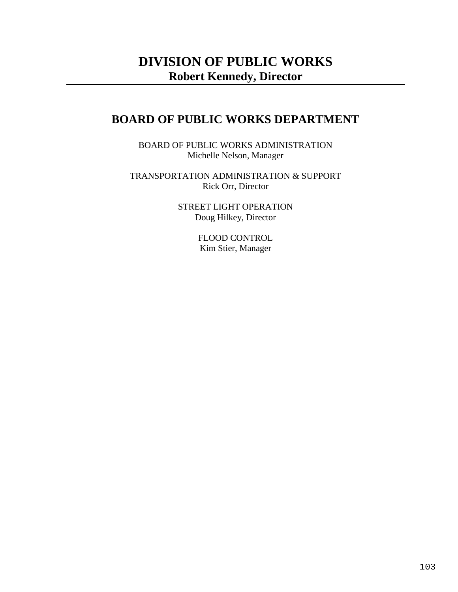# **DIVISION OF PUBLIC WORKS Robert Kennedy, Director**

## **BOARD OF PUBLIC WORKS DEPARTMENT**

BOARD OF PUBLIC WORKS ADMINISTRATION Michelle Nelson, Manager

TRANSPORTATION ADMINISTRATION & SUPPORT Rick Orr, Director

> STREET LIGHT OPERATION Doug Hilkey, Director

> > FLOOD CONTROL Kim Stier, Manager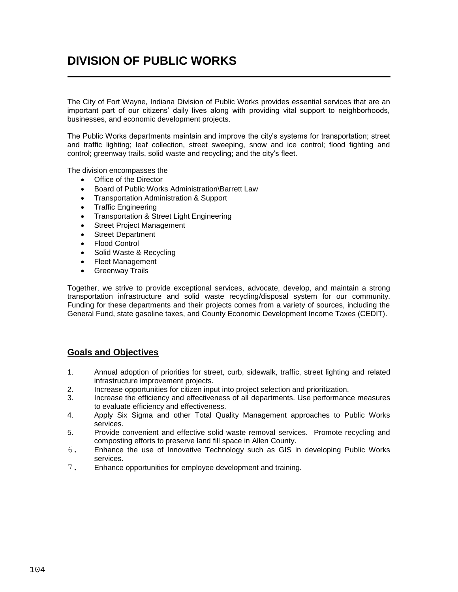# **DIVISION OF PUBLIC WORKS**

The City of Fort Wayne, Indiana Division of Public Works provides essential services that are an important part of our citizens' daily lives along with providing vital support to neighborhoods, businesses, and economic development projects.

The Public Works departments maintain and improve the city's systems for transportation; street and traffic lighting; leaf collection, street sweeping, snow and ice control; flood fighting and control; greenway trails, solid waste and recycling; and the city's fleet.

The division encompasses the

- Office of the Director
- Board of Public Works Administration\Barrett Law
- Transportation Administration & Support
- Traffic Engineering
- Transportation & Street Light Engineering
- Street Project Management
- Street Department
- Flood Control
- Solid Waste & Recycling
- Fleet Management
- **•** Greenway Trails

Together, we strive to provide exceptional services, advocate, develop, and maintain a strong transportation infrastructure and solid waste recycling/disposal system for our community. Funding for these departments and their projects comes from a variety of sources, including the General Fund, state gasoline taxes, and County Economic Development Income Taxes (CEDIT).

## **Goals and Objectives**

- 1. Annual adoption of priorities for street, curb, sidewalk, traffic, street lighting and related infrastructure improvement projects.
- 2. Increase opportunities for citizen input into project selection and prioritization.
- 3. Increase the efficiency and effectiveness of all departments. Use performance measures to evaluate efficiency and effectiveness.
- 4. Apply Six Sigma and other Total Quality Management approaches to Public Works services.
- 5. Provide convenient and effective solid waste removal services. Promote recycling and composting efforts to preserve land fill space in Allen County.
- 6. Enhance the use of Innovative Technology such as GIS in developing Public Works services.
- 7. Enhance opportunities for employee development and training.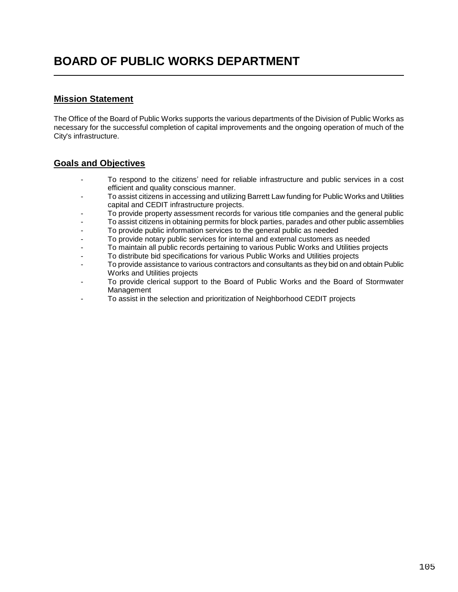## **Mission Statement**

The Office of the Board of Public Works supports the various departments of the Division of Public Works as necessary for the successful completion of capital improvements and the ongoing operation of much of the City's infrastructure.

## **Goals and Objectives**

- To respond to the citizens' need for reliable infrastructure and public services in a cost efficient and quality conscious manner.
- To assist citizens in accessing and utilizing Barrett Law funding for Public Works and Utilities capital and CEDIT infrastructure projects.
- To provide property assessment records for various title companies and the general public
- To assist citizens in obtaining permits for block parties, parades and other public assemblies
- To provide public information services to the general public as needed
- To provide notary public services for internal and external customers as needed
- To maintain all public records pertaining to various Public Works and Utilities projects
- To distribute bid specifications for various Public Works and Utilities projects
- To provide assistance to various contractors and consultants as they bid on and obtain Public Works and Utilities projects
- To provide clerical support to the Board of Public Works and the Board of Stormwater Management
- To assist in the selection and prioritization of Neighborhood CEDIT projects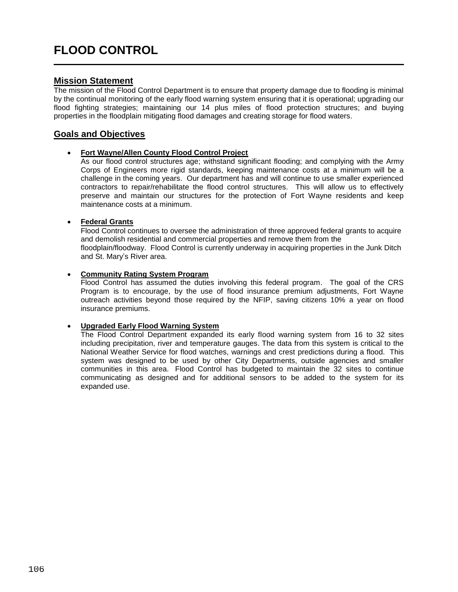## **Mission Statement**

The mission of the Flood Control Department is to ensure that property damage due to flooding is minimal by the continual monitoring of the early flood warning system ensuring that it is operational; upgrading our flood fighting strategies; maintaining our 14 plus miles of flood protection structures; and buying properties in the floodplain mitigating flood damages and creating storage for flood waters.

## **Goals and Objectives**

### **Fort Wayne/Allen County Flood Control Project**

 $\overline{a}$ 

As our flood control structures age; withstand significant flooding; and complying with the Army Corps of Engineers more rigid standards, keeping maintenance costs at a minimum will be a challenge in the coming years. Our department has and will continue to use smaller experienced contractors to repair/rehabilitate the flood control structures. This will allow us to effectively preserve and maintain our structures for the protection of Fort Wayne residents and keep maintenance costs at a minimum.

### **Federal Grants**

Flood Control continues to oversee the administration of three approved federal grants to acquire and demolish residential and commercial properties and remove them from the floodplain/floodway. Flood Control is currently underway in acquiring properties in the Junk Ditch and St. Mary's River area.

### **Community Rating System Program**

Flood Control has assumed the duties involving this federal program. The goal of the CRS Program is to encourage, by the use of flood insurance premium adjustments, Fort Wayne outreach activities beyond those required by the NFIP, saving citizens 10% a year on flood insurance premiums.

### **Upgraded Early Flood Warning System**

The Flood Control Department expanded its early flood warning system from 16 to 32 sites including precipitation, river and temperature gauges. The data from this system is critical to the National Weather Service for flood watches, warnings and crest predictions during a flood. This system was designed to be used by other City Departments, outside agencies and smaller communities in this area. Flood Control has budgeted to maintain the 32 sites to continue communicating as designed and for additional sensors to be added to the system for its expanded use.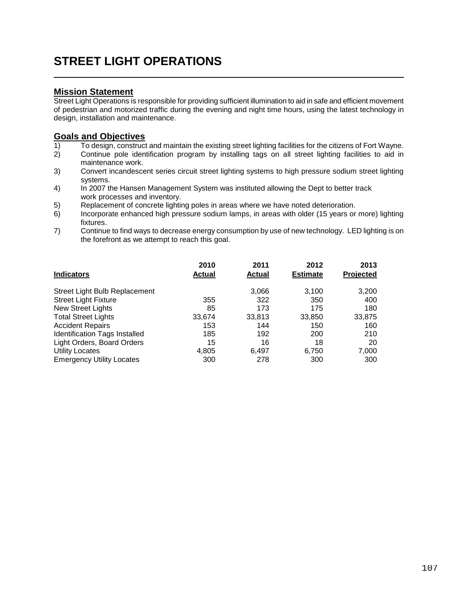# **STREET LIGHT OPERATIONS**

## **Mission Statement**

Street Light Operations is responsible for providing sufficient illumination to aid in safe and efficient movement of pedestrian and motorized traffic during the evening and night time hours, using the latest technology in design, installation and maintenance.

## **Goals and Objectives**

- 1) To design, construct and maintain the existing street lighting facilities for the citizens of Fort Wayne.
- 2) Continue pole identification program by installing tags on all street lighting facilities to aid in maintenance work.
- 3) Convert incandescent series circuit street lighting systems to high pressure sodium street lighting systems.
- 4) In 2007 the Hansen Management System was instituted allowing the Dept to better track work processes and inventory.
- 5) Replacement of concrete lighting poles in areas where we have noted deterioration.
- 6) Incorporate enhanced high pressure sodium lamps, in areas with older (15 years or more) lighting fixtures.
- 7) Continue to find ways to decrease energy consumption by use of new technology. LED lighting is on the forefront as we attempt to reach this goal.

| <b>Indicators</b>                | 2010<br>Actual | 2011<br>Actual | 2012<br><b>Estimate</b> | 2013<br><b>Projected</b> |
|----------------------------------|----------------|----------------|-------------------------|--------------------------|
| Street Light Bulb Replacement    |                | 3,066          | 3,100                   | 3,200                    |
| <b>Street Light Fixture</b>      | 355            | 322            | 350                     | 400                      |
| New Street Lights                | 85             | 173            | 175                     | 180                      |
| <b>Total Street Lights</b>       | 33,674         | 33,813         | 33,850                  | 33,875                   |
| <b>Accident Repairs</b>          | 153            | 144            | 150                     | 160                      |
| Identification Tags Installed    | 185            | 192            | 200                     | 210                      |
| Light Orders, Board Orders       | 15             | 16             | 18                      | 20                       |
| <b>Utility Locates</b>           | 4,805          | 6,497          | 6,750                   | 7,000                    |
| <b>Emergency Utility Locates</b> | 300            | 278            | 300                     | 300                      |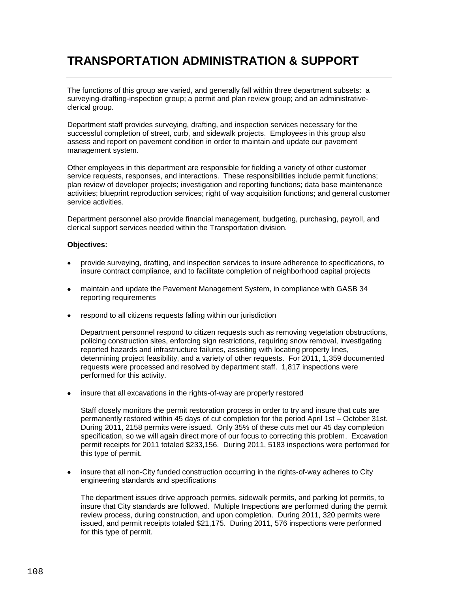# **TRANSPORTATION ADMINISTRATION & SUPPORT**

The functions of this group are varied, and generally fall within three department subsets: a surveying-drafting-inspection group; a permit and plan review group; and an administrativeclerical group.

Department staff provides surveying, drafting, and inspection services necessary for the successful completion of street, curb, and sidewalk projects. Employees in this group also assess and report on pavement condition in order to maintain and update our pavement management system.

Other employees in this department are responsible for fielding a variety of other customer service requests, responses, and interactions. These responsibilities include permit functions; plan review of developer projects; investigation and reporting functions; data base maintenance activities; blueprint reproduction services; right of way acquisition functions; and general customer service activities.

Department personnel also provide financial management, budgeting, purchasing, payroll, and clerical support services needed within the Transportation division.

### **Objectives:**

- provide surveying, drafting, and inspection services to insure adherence to specifications, to insure contract compliance, and to facilitate completion of neighborhood capital projects
- maintain and update the Pavement Management System, in compliance with GASB 34 reporting requirements
- respond to all citizens requests falling within our jurisdiction

Department personnel respond to citizen requests such as removing vegetation obstructions, policing construction sites, enforcing sign restrictions, requiring snow removal, investigating reported hazards and infrastructure failures, assisting with locating property lines, determining project feasibility, and a variety of other requests. For 2011, 1,359 documented requests were processed and resolved by department staff. 1,817 inspections were performed for this activity.

insure that all excavations in the rights-of-way are properly restored

Staff closely monitors the permit restoration process in order to try and insure that cuts are permanently restored within 45 days of cut completion for the period April 1st – October 31st. During 2011, 2158 permits were issued. Only 35% of these cuts met our 45 day completion specification, so we will again direct more of our focus to correcting this problem. Excavation permit receipts for 2011 totaled \$233,156. During 2011, 5183 inspections were performed for this type of permit.

 insure that all non-City funded construction occurring in the rights-of-way adheres to City engineering standards and specifications

The department issues drive approach permits, sidewalk permits, and parking lot permits, to insure that City standards are followed. Multiple Inspections are performed during the permit review process, during construction, and upon completion. During 2011, 320 permits were issued, and permit receipts totaled \$21,175. During 2011, 576 inspections were performed for this type of permit.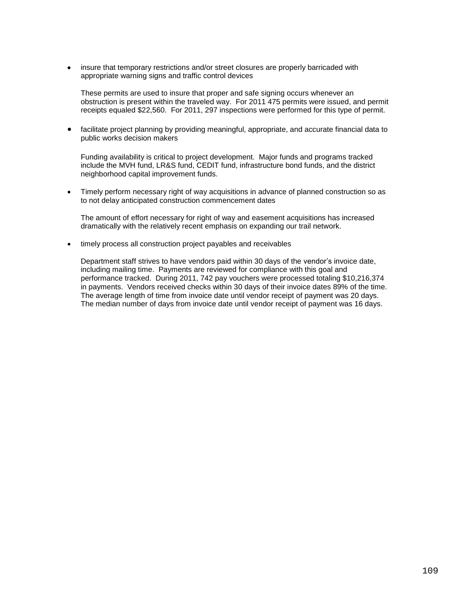insure that temporary restrictions and/or street closures are properly barricaded with appropriate warning signs and traffic control devices

These permits are used to insure that proper and safe signing occurs whenever an obstruction is present within the traveled way. For 2011 475 permits were issued, and permit receipts equaled \$22,560. For 2011, 297 inspections were performed for this type of permit.

 facilitate project planning by providing meaningful, appropriate, and accurate financial data to public works decision makers

Funding availability is critical to project development. Major funds and programs tracked include the MVH fund, LR&S fund, CEDIT fund, infrastructure bond funds, and the district neighborhood capital improvement funds.

 Timely perform necessary right of way acquisitions in advance of planned construction so as to not delay anticipated construction commencement dates

The amount of effort necessary for right of way and easement acquisitions has increased dramatically with the relatively recent emphasis on expanding our trail network.

timely process all construction project payables and receivables

Department staff strives to have vendors paid within 30 days of the vendor's invoice date, including mailing time. Payments are reviewed for compliance with this goal and performance tracked. During 2011, 742 pay vouchers were processed totaling \$10,216,374 in payments. Vendors received checks within 30 days of their invoice dates 89% of the time. The average length of time from invoice date until vendor receipt of payment was 20 days. The median number of days from invoice date until vendor receipt of payment was 16 days.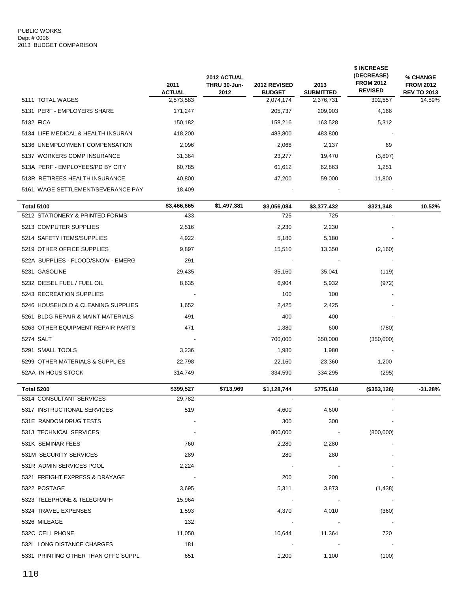|                                     | 2011<br><b>ACTUAL</b> | 2012 ACTUAL<br>THRU 30-Jun-<br>2012 | 2012 REVISED<br><b>BUDGET</b> | 2013<br><b>SUBMITTED</b> | \$ INCREASE<br>(DECREASE)<br><b>FROM 2012</b><br><b>REVISED</b> | % CHANGE<br><b>FROM 2012</b><br><b>REV TO 2013</b> |
|-------------------------------------|-----------------------|-------------------------------------|-------------------------------|--------------------------|-----------------------------------------------------------------|----------------------------------------------------|
| 5111 TOTAL WAGES                    | 2,573,583             |                                     | 2,074,174                     | 2,376,731                | 302,557                                                         | 14.59%                                             |
| 5131 PERF - EMPLOYERS SHARE         | 171,247               |                                     | 205,737                       | 209,903                  | 4,166                                                           |                                                    |
| 5132 FICA                           | 150,182               |                                     | 158,216                       | 163,528                  | 5,312                                                           |                                                    |
| 5134 LIFE MEDICAL & HEALTH INSURAN  | 418,200               |                                     | 483,800                       | 483,800                  |                                                                 |                                                    |
| 5136 UNEMPLOYMENT COMPENSATION      | 2,096                 |                                     | 2,068                         | 2,137                    | 69                                                              |                                                    |
| 5137 WORKERS COMP INSURANCE         | 31,364                |                                     | 23,277                        | 19,470                   | (3,807)                                                         |                                                    |
| 513A PERF - EMPLOYEES/PD BY CITY    | 60,785                |                                     | 61,612                        | 62,863                   | 1,251                                                           |                                                    |
| 513R RETIREES HEALTH INSURANCE      | 40,800                |                                     | 47,200                        | 59,000                   | 11,800                                                          |                                                    |
| 5161 WAGE SETTLEMENT/SEVERANCE PAY  | 18,409                |                                     |                               |                          |                                                                 |                                                    |
| <b>Total 5100</b>                   | \$3,466,665           | \$1,497,381                         | \$3,056,084                   | \$3,377,432              | \$321,348                                                       | 10.52%                                             |
| 5212 STATIONERY & PRINTED FORMS     | 433                   |                                     | 725                           | 725                      |                                                                 |                                                    |
| 5213 COMPUTER SUPPLIES              | 2,516                 |                                     | 2,230                         | 2,230                    |                                                                 |                                                    |
| 5214 SAFETY ITEMS/SUPPLIES          | 4,922                 |                                     | 5,180                         | 5,180                    |                                                                 |                                                    |
| 5219 OTHER OFFICE SUPPLIES          | 9,897                 |                                     | 15,510                        | 13,350                   | (2, 160)                                                        |                                                    |
| 522A SUPPLIES - FLOOD/SNOW - EMERG  | 291                   |                                     |                               |                          |                                                                 |                                                    |
| 5231 GASOLINE                       | 29,435                |                                     | 35,160                        | 35,041                   | (119)                                                           |                                                    |
| 5232 DIESEL FUEL / FUEL OIL         | 8,635                 |                                     | 6,904                         | 5,932                    | (972)                                                           |                                                    |
| 5243 RECREATION SUPPLIES            |                       |                                     | 100                           | 100                      |                                                                 |                                                    |
| 5246 HOUSEHOLD & CLEANING SUPPLIES  | 1,652                 |                                     | 2,425                         | 2,425                    |                                                                 |                                                    |
| 5261 BLDG REPAIR & MAINT MATERIALS  | 491                   |                                     | 400                           | 400                      |                                                                 |                                                    |
| 5263 OTHER EQUIPMENT REPAIR PARTS   | 471                   |                                     | 1,380                         | 600                      | (780)                                                           |                                                    |
| 5274 SALT                           |                       |                                     | 700,000                       | 350,000                  | (350,000)                                                       |                                                    |
| 5291 SMALL TOOLS                    | 3,236                 |                                     | 1,980                         | 1,980                    |                                                                 |                                                    |
| 5299 OTHER MATERIALS & SUPPLIES     | 22,798                |                                     | 22,160                        | 23,360                   | 1,200                                                           |                                                    |
| 52AA IN HOUS STOCK                  | 314,749               |                                     | 334,590                       | 334,295                  | (295)                                                           |                                                    |
| Total 5200                          | \$399,527             | \$713,969                           | \$1,128,744                   | \$775,618                | (\$353,126)                                                     | $-31.28%$                                          |
| 5314 CONSULTANT SERVICES            | 29,782                |                                     |                               |                          |                                                                 |                                                    |
| 5317 INSTRUCTIONAL SERVICES         | 519                   |                                     | 4,600                         | 4,600                    |                                                                 |                                                    |
| 531E RANDOM DRUG TESTS              |                       |                                     | 300                           | 300                      |                                                                 |                                                    |
| 531J TECHNICAL SERVICES             |                       |                                     | 800,000                       | $\sim 100$               | (800,000)                                                       |                                                    |
| 531K SEMINAR FEES                   | 760                   |                                     | 2,280                         | 2,280                    |                                                                 |                                                    |
| 531M SECURITY SERVICES              | 289                   |                                     | 280                           | 280                      |                                                                 |                                                    |
| 531R ADMIN SERVICES POOL            | 2,224                 |                                     |                               |                          |                                                                 |                                                    |
| 5321 FREIGHT EXPRESS & DRAYAGE      | $\sim$ 10 $\pm$       |                                     | 200                           | 200                      |                                                                 |                                                    |
| 5322 POSTAGE                        | 3,695                 |                                     | 5,311                         | 3,873                    | (1, 438)                                                        |                                                    |
| 5323 TELEPHONE & TELEGRAPH          | 15,964                |                                     | $\sim 100$ m $^{-1}$          | $\sim 100$ km s $^{-1}$  |                                                                 |                                                    |
| 5324 TRAVEL EXPENSES                | 1,593                 |                                     | 4,370                         | 4,010                    | (360)                                                           |                                                    |
| 5326 MILEAGE                        | 132                   |                                     | $\sim 100$ m $^{-1}$          |                          |                                                                 |                                                    |
| 532C CELL PHONE                     | 11,050                |                                     | 10,644                        | 11,364                   | 720                                                             |                                                    |
| 532L LONG DISTANCE CHARGES          | 181                   |                                     | $\sim$                        |                          |                                                                 |                                                    |
| 5331 PRINTING OTHER THAN OFFC SUPPL | 651                   |                                     | 1,200                         | 1,100                    | (100)                                                           |                                                    |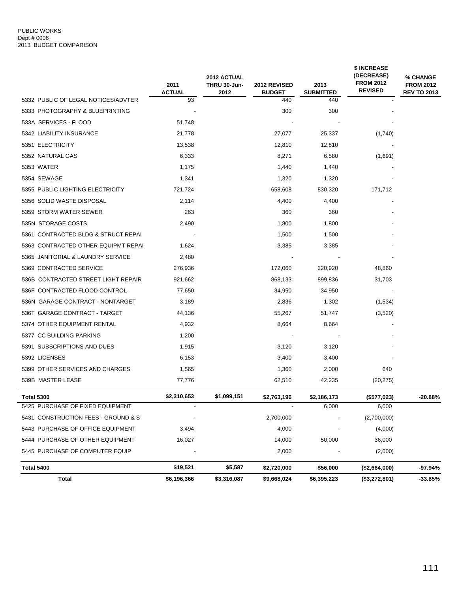#### PUBLIC WORKS Dept # 0006 2013 BUDGET COMPARISON

|                                     | 2011                | 2012 ACTUAL<br>THRU 30-Jun- | <b>2012 REVISED</b>  | 2013                    | \$ INCREASE<br>(DECREASE)<br><b>FROM 2012</b><br><b>REVISED</b> | % CHANGE<br><b>FROM 2012</b> |
|-------------------------------------|---------------------|-----------------------------|----------------------|-------------------------|-----------------------------------------------------------------|------------------------------|
| 5332 PUBLIC OF LEGAL NOTICES/ADVTER | <b>ACTUAL</b><br>93 | 2012                        | <b>BUDGET</b><br>440 | <b>SUBMITTED</b><br>440 |                                                                 | <b>REV TO 2013</b>           |
| 5333 PHOTOGRAPHY & BLUEPRINTING     |                     |                             | 300                  | 300                     |                                                                 |                              |
| 533A SERVICES - FLOOD               | 51,748              |                             |                      |                         |                                                                 |                              |
| 5342 LIABILITY INSURANCE            | 21,778              |                             | 27,077               | 25,337                  | (1,740)                                                         |                              |
| 5351 ELECTRICITY                    | 13,538              |                             | 12,810               | 12,810                  |                                                                 |                              |
| 5352 NATURAL GAS                    | 6,333               |                             | 8,271                | 6,580                   | (1,691)                                                         |                              |
| 5353 WATER                          | 1,175               |                             | 1,440                | 1,440                   |                                                                 |                              |
| 5354 SEWAGE                         | 1,341               |                             | 1,320                | 1,320                   |                                                                 |                              |
| 5355 PUBLIC LIGHTING ELECTRICITY    | 721,724             |                             | 658,608              | 830,320                 | 171,712                                                         |                              |
| 5356 SOLID WASTE DISPOSAL           | 2,114               |                             | 4,400                | 4,400                   |                                                                 |                              |
| 5359 STORM WATER SEWER              | 263                 |                             | 360                  | 360                     |                                                                 |                              |
| 535N STORAGE COSTS                  | 2,490               |                             | 1,800                | 1,800                   |                                                                 |                              |
| 5361 CONTRACTED BLDG & STRUCT REPAI |                     |                             | 1,500                | 1,500                   |                                                                 |                              |
| 5363 CONTRACTED OTHER EQUIPMT REPAI | 1,624               |                             | 3,385                | 3,385                   |                                                                 |                              |
| 5365 JANITORIAL & LAUNDRY SERVICE   | 2,480               |                             |                      |                         |                                                                 |                              |
| 5369 CONTRACTED SERVICE             | 276,936             |                             | 172,060              | 220,920                 | 48,860                                                          |                              |
| 536B CONTRACTED STREET LIGHT REPAIR | 921,662             |                             | 868,133              | 899,836                 | 31,703                                                          |                              |
| 536F CONTRACTED FLOOD CONTROL       | 77,650              |                             | 34,950               | 34,950                  |                                                                 |                              |
| 536N GARAGE CONTRACT - NONTARGET    | 3,189               |                             | 2,836                | 1,302                   | (1,534)                                                         |                              |
| 536T GARAGE CONTRACT - TARGET       | 44,136              |                             | 55,267               | 51,747                  | (3,520)                                                         |                              |
| 5374 OTHER EQUIPMENT RENTAL         | 4,932               |                             | 8,664                | 8,664                   |                                                                 |                              |
| 5377 CC BUILDING PARKING            | 1,200               |                             |                      |                         |                                                                 |                              |
| 5391 SUBSCRIPTIONS AND DUES         | 1,915               |                             | 3,120                | 3,120                   |                                                                 |                              |
| 5392 LICENSES                       | 6,153               |                             | 3,400                | 3,400                   |                                                                 |                              |
| 5399 OTHER SERVICES AND CHARGES     | 1,565               |                             | 1,360                | 2,000                   | 640                                                             |                              |
| 539B MASTER LEASE                   | 77,776              |                             | 62,510               | 42,235                  | (20, 275)                                                       |                              |
| Total 5300                          | \$2,310,653         | \$1,099,151                 | \$2,763,196          | \$2,186,173             | (\$577,023)                                                     | $-20.88%$                    |
| 5425 PURCHASE OF FIXED EQUIPMENT    |                     |                             |                      | 6,000                   | 6,000                                                           |                              |
| 5431 CONSTRUCTION FEES - GROUND & S |                     |                             | 2,700,000            |                         | (2,700,000)                                                     |                              |
| 5443 PURCHASE OF OFFICE EQUIPMENT   | 3,494               |                             | 4,000                |                         | (4,000)                                                         |                              |
| 5444 PURCHASE OF OTHER EQUIPMENT    | 16,027              |                             | 14,000               | 50,000                  | 36,000                                                          |                              |
| 5445 PURCHASE OF COMPUTER EQUIP     |                     |                             | 2,000                |                         | (2,000)                                                         |                              |
| Total 5400                          | \$19,521            | \$5,587                     | \$2,720,000          | \$56,000                | (\$2,664,000)                                                   | $-97.94%$                    |
| <b>Total</b>                        | \$6,196,366         | \$3,316,087                 | \$9,668,024          | \$6,395,223             | (\$3,272,801)                                                   | $-33.85%$                    |